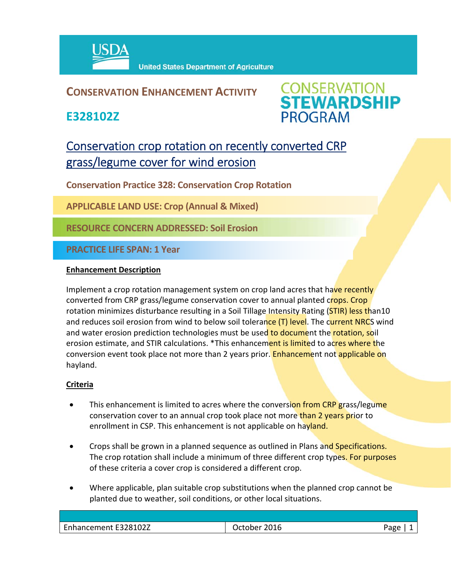

### **CONSERVATION ENHANCEMENT ACTIVITY**

**E328102Z**



## Conservation crop rotation on recently converted CRP grass/legume cover for wind erosion

**Conservation Practice 328: Conservation Crop Rotation** 

**APPLICABLE LAND USE: Crop (Annual & Mixed)** 

**RESOURCE CONCERN ADDRESSED: Soil Erosion**

**PRACTICE LIFE SPAN: 1 Year**

#### **Enhancement Description**

Implement a crop rotation management system on crop land acres that have recently converted from CRP grass/legume conservation cover to annual planted crops. Crop rotation minimizes disturbance resulting in a Soil Tillage Intensity Rating (STIR) less than10 and reduces soil erosion from wind to below soil tolerance (T) level. The current NRCS wind and water erosion prediction technologies must be used to document the rotation, soil erosion estimate, and STIR calculations. \*This enhancement is limited to acres where the conversion event took place not more than 2 years prior. Enhancement not applicable on hayland.

#### **Criteria**

- This enhancement is limited to acres where the conversion from CRP grass/legume conservation cover to an annual crop took place not more than 2 years prior to enrollment in CSP. This enhancement is not applicable on hayland.
- Crops shall be grown in a planned sequence as outlined in Plans and Specifications. The crop rotation shall include a minimum of three different crop types. For purposes of these criteria a cover crop is considered a different crop.
- Where applicable, plan suitable crop substitutions when the planned crop cannot be planted due to weather, soil conditions, or other local situations.

| Enhancement E328102Z | 2016<br>)rtoher | oac |
|----------------------|-----------------|-----|
|                      |                 |     |